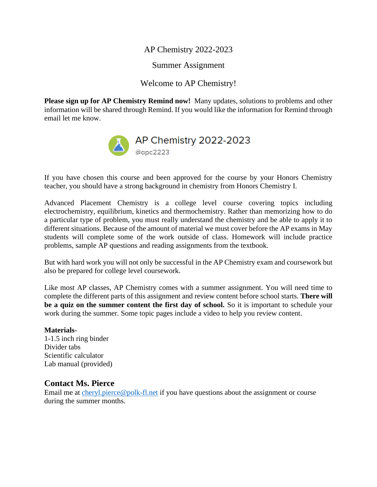AP Chemistry 2022-2023

Summer Assignment

Welcome to AP Chemistry!

**Please sign up for AP Chemistry Remind now!** Many updates, solutions to problems and other information will be shared through Remind. If you would like the information for Remind through email let me know.



If you have chosen this course and been approved for the course by your Honors Chemistry teacher, you should have a strong background in chemistry from Honors Chemistry I.

Advanced Placement Chemistry is a college level course covering topics including electrochemistry, equilibrium, kinetics and thermochemistry. Rather than memorizing how to do a particular type of problem, you must really understand the chemistry and be able to apply it to different situations. Because of the amount of material we must cover before the AP exams in May students will complete some of the work outside of class. Homework will include practice problems, sample AP questions and reading assignments from the textbook.

But with hard work you will not only be successful in the AP Chemistry exam and coursework but also be prepared for college level coursework.

Like most AP classes, AP Chemistry comes with a summer assignment. You will need time to complete the different parts of this assignment and review content before school starts. **There will be a quiz on the summer content the first day of school.** So it is important to schedule your work during the summer. Some topic pages include a video to help you review content.

**Materials-**1-1.5 inch ring binder Divider tabs Scientific calculator Lab manual (provided)

#### **Contact Ms. Pierce**

Email me at [cheryl.pierce@polk-fl.net](mailto:cheryl.pierce@polk-fl.net) if you have questions about the assignment or course during the summer months.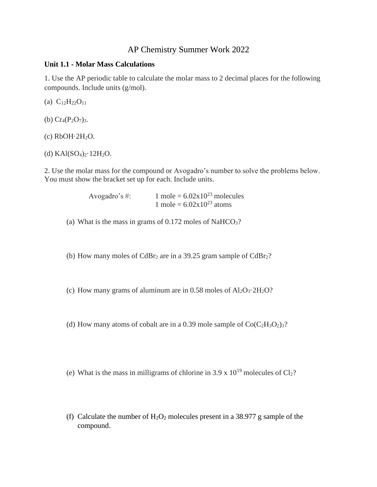#### AP Chemistry Summer Work 2022

#### **Unit 1.1 - Molar Mass Calculations**

1. Use the AP periodic table to calculate the [molar mass](https://www.thoughtco.com/concentration-and-molarity-test-questions-604114) to 2 decimal places for the following compounds. Include units (g/mol).

(a)  $C_{12}H_{22}O_{11}$ 

(b)  $Cr_4(P_2O_7)_{3}.$ 

 $(c)$  RbOH $\cdot$ 2H<sub>2</sub>O.

(d)  $KAI(SO<sub>4</sub>)<sub>2</sub>·12H<sub>2</sub>O.$ 

2. Use the molar mass for the compound or Avogadro's number to solve the problems below. You must show the bracket set up for each. Include units.

> Avogadro's #:  $1 \text{ mole} = 6.02 \times 10^{23} \text{ molecules}$ 1 mole =  $6.02 \times 10^{23}$  atoms

(a) What is the mass in grams of  $0.172$  moles of NaHCO<sub>3</sub>?

(b) How [many moles](https://www.thoughtco.com/mole-definition-in-chemistry-606377) of  $CdBr<sub>2</sub>$  are in a 39.25 gram sample of  $CdBr<sub>2</sub>$ ?

(c) How [many grams](https://www.thoughtco.com/how-to-convert-grams-to-moles-608486) of aluminum are in  $0.58$  moles of  $Al_2O_3 \tcdot 2H_2O$ ?

(d) How [many atoms](https://www.thoughtco.com/what-is-an-atom-603816) of cobalt are in a 0.39 [mole sample](https://www.thoughtco.com/what-is-a-mole-and-why-are-moles-used-602108) of  $Co(C_2H_3O_2)_{3}$ ?

(e) What is the mass in milligrams of chlorine in 3.9 x  $10^{19}$  molecules of Cl<sub>2</sub>?

(f) Calculate the number of  $H_2O_2$  molecules present in a 38.977 g sample of the compound.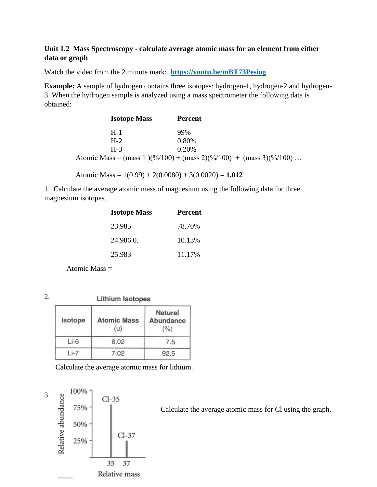#### **Unit 1.2 Mass Spectroscopy - calculate average atomic mass for an element from either data or graph**

Watch the video from the 2 minute mark: **<https://youtu.be/mBT73Pesiog>**

**Example:** A sample of hydrogen contains three isotopes: hydrogen-1, hydrogen-2 and hydrogen-3. When the hydrogen sample is analyzed using a mass spectrometer the following data is obtained:

| <b>Isotope Mass</b> | <b>Percent</b>                                                          |
|---------------------|-------------------------------------------------------------------------|
| $H-1$               | 99%                                                                     |
| $H-2$               | 0.80%                                                                   |
| $H-3$               | $0.20\%$                                                                |
|                     | Atomic Mass = $(mass 1)(\%/100) + (mass 2)(\%/100) + (mass 3)(\%/100) $ |

Atomic Mass = 1(0.99) + 2(0.0080) + 3(0.0020) = **1.012**

1. Calculate the average atomic mass of magnesium using the following data for three magnesium isotopes.

| <b>Isotope Mass</b> | <b>Percent</b> |
|---------------------|----------------|
| 23.985              | 78.70%         |
| 24.9860.            | 10.13%         |
| 25.983              | 11.17%         |

Atomic Mass =

2.

Lithium Isotopes

| Isotope | <b>Atomic Mass</b> | <b>Natural</b><br><b>Abundance</b><br>(%) |
|---------|--------------------|-------------------------------------------|
| $Li-6$  | 6.02               | 7.5                                       |
|         | 7.02               | 92.5                                      |

Calculate the average atomic mass for lithium.

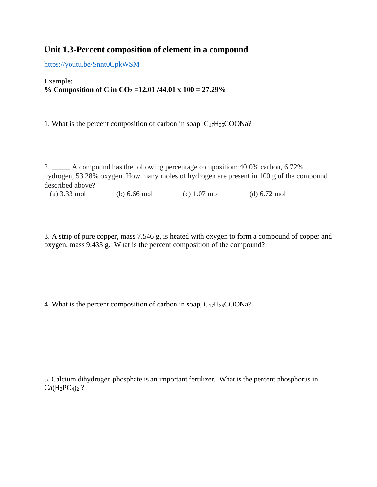### **Unit 1.3-Percent composition of element in a compound**

<https://youtu.be/Snnt0CpkWSM>

#### Example: **% Composition of C in CO<sup>2</sup> =12.01 /44.01 x 100 = 27.29%**

1. What is the percent composition of carbon in soap,  $C_{17}H_{35}COONa$ ?

2. \_\_\_\_\_ A compound has the following percentage composition: 40.0% carbon, 6.72% hydrogen, 53.28% oxygen. How many moles of hydrogen are present in 100 g of the compound described above?

(a) 3.33 mol (b) 6.66 mol (c) 1.07 mol (d) 6.72 mol

3. A strip of pure copper, mass 7.546 g, is heated with oxygen to form a compound of copper and oxygen, mass 9.433 g. What is the percent composition of the compound?

4. What is the percent composition of carbon in soap, C17H35COONa?

5. Calcium dihydrogen phosphate is an important fertilizer. What is the percent phosphorus in  $Ca(H_2PO_4)_2$ ?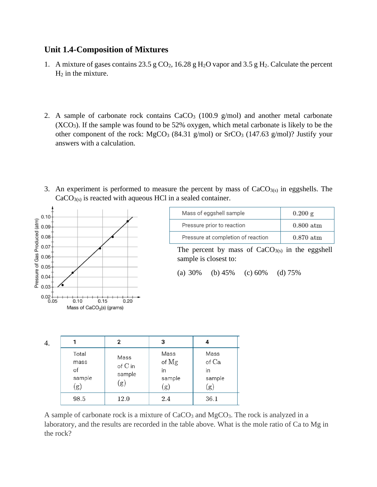#### **Unit 1.4-Composition of Mixtures**

- 1. A mixture of gases contains 23.5 g  $CO<sub>2</sub>$ , 16.28 g H<sub>2</sub>O vapor and 3.5 g H<sub>2</sub>. Calculate the percent  $H_2$  in the mixture.
- 2. A sample of carbonate rock contains  $CaCO<sub>3</sub>$  (100.9 g/mol) and another metal carbonate  $(XCO<sub>3</sub>)$ . If the sample was found to be 52% oxygen, which metal carbonate is likely to be the other component of the rock:  $MgCO<sub>3</sub>$  (84.31 g/mol) or  $SrCO<sub>3</sub>$  (147.63 g/mol)? Justify your answers with a calculation.
- 3. An experiment is performed to measure the percent by mass of  $CaCO<sub>3(s)</sub>$  in eggshells. The  $CaCO<sub>3(s)</sub>$  is reacted with aqueous HCl in a sealed container.



| Mass of eggshell sample            | $0.200 \text{ g}$ |
|------------------------------------|-------------------|
| Pressure prior to reaction         | $0.800$ atm       |
| Pressure at completion of reaction | $0.870$ atm       |

The percent by mass of  $CaCO<sub>3(s)</sub>$  in the eggshell sample is closest to:

```
(a) 30% (b) 45% (c) 60% (d) 75%
```

| 4. |                                      | 2                                | 3                                    |                                               |
|----|--------------------------------------|----------------------------------|--------------------------------------|-----------------------------------------------|
|    | Total<br>mass<br>of<br>sample<br>(g) | Mass<br>of C in<br>sample<br>(g) | Mass<br>of Mg<br>in<br>sample<br>(g) | Mass<br>$\circ$ f $Ca$<br>in<br>sample<br>(g) |
|    | 98.5                                 | 12.0                             | 2.4                                  | 36.1                                          |

A sample of carbonate rock is a mixture of CaCO<sub>3</sub> and MgCO<sub>3</sub>. The rock is analyzed in a laboratory, and the results are recorded in the table above. What is the mole ratio of Ca to Mg in the rock?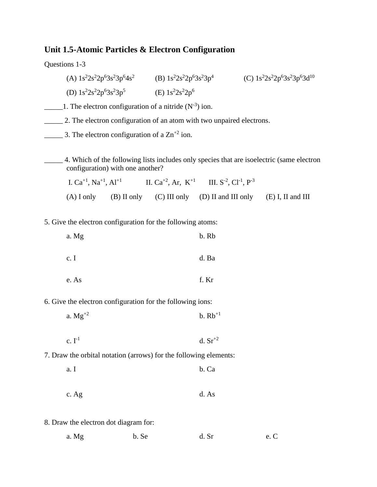#### **Unit 1.5-Atomic Particles & Electron Configuration**

Questions 1-3

(A)  $1s^22s^22p^63s^23p^64s^2$  (B)  $1s^22s^22p^63s^23p^4$ (C)  $1s^22s^22p^63s^23p^63d^{10}$ (D)  $1s^2 2s^2 2p^6 3s^2 3p^5$  (E)  $1s^2 2s^2 2p^6$ 

1. The electron configuration of a nitride  $(N^{-3})$  ion.

\_\_\_\_\_ 2. The electron configuration of an atom with two unpaired electrons.

 $\frac{1}{2}$  3. The electron configuration of a Zn<sup>+2</sup> ion.

\_\_\_\_\_ 4. Which of the following lists includes only species that are isoelectric (same electron configuration) with one another?

| I. $Ca^{+1}$ , $Na^{+1}$ , $Al^{+1}$ |  | II. $Ca^{+2}$ , Ar, $K^{+1}$ III. $S^{-2}$ , $Cl^{-1}$ , $P^{-3}$         |  |
|--------------------------------------|--|---------------------------------------------------------------------------|--|
|                                      |  | (A) I only (B) II only (C) III only (D) II and III only (E) I, II and III |  |

5. Give the electron configuration for the following atoms:

| a. Mg | b. Rb |
|-------|-------|
| c. I  | d. Ba |
| e. As | f. Kr |

6. Give the electron configuration for the following ions:

| a. $Mg^{+2}$ | $b. Rb^{+1}$ |
|--------------|--------------|
|--------------|--------------|

| c. $I^{-1}$ | d. $Sr^{+2}$ |
|-------------|--------------|
|             |              |

- 7. Draw the orbital notation (arrows) for the following elements:
	- a. I b. Ca
	- c. Ag d. As
- 8. Draw the electron dot diagram for:

| a. Mg | b. Se | d. Sr | e. C |  |
|-------|-------|-------|------|--|
|       |       |       |      |  |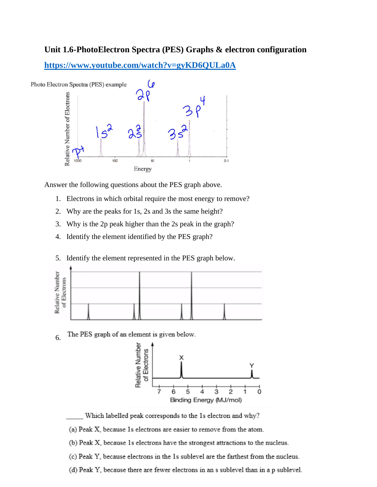### **Unit 1.6-PhotoElectron Spectra (PES) Graphs & electron configuration**

**<https://www.youtube.com/watch?v=gyKD6QULa0A>**



Answer the following questions about the PES graph above.

- 1. Electrons in which orbital require the most energy to remove?
- 2. Why are the peaks for 1s, 2s and 3s the same height?
- 3. Why is the 2p peak higher than the 2s peak in the graph?
- 4. Identify the element identified by the PES graph?
- 5. Identify the element represented in the PES graph below.



The PES graph of an element is given below. 6.



- Which labelled peak corresponds to the 1s electron and why?
- (a) Peak X, because 1s electrons are easier to remove from the atom.
- (b) Peak X, because 1s electrons have the strongest attractions to the nucleus.
- (c) Peak Y, because electrons in the 1s sublevel are the farthest from the nucleus.
- (d) Peak Y, because there are fewer electrons in an s sublevel than in a p sublevel.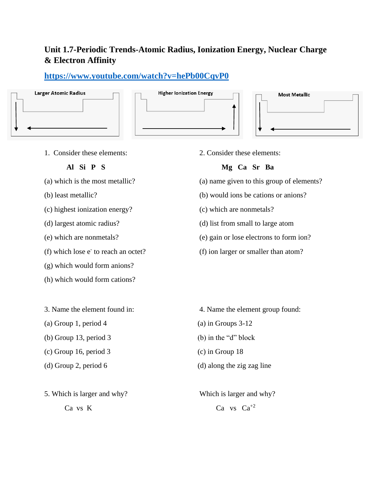# **Unit 1.7-Periodic Trends-Atomic Radius, Ionization Energy, Nuclear Charge & Electron Affinity**

## **<https://www.youtube.com/watch?v=hePb00CqvP0>**



1. Consider these elements: 2. Consider these elements:

- 
- 
- (c) highest ionization energy? (c) which are nonmetals?
- 
- 
- (f) which lose  $e^-$  to reach an octet?
- (g) which would form anions?
- (h) which would form cations?
- 
- (a) Group 1, period 4 (a) in Groups  $3-12$
- (b) Group 13, period 3 (b) in the "d" block
- (c) Group 16, period 3 (c) in Group 18
- 
- 5. Which is larger and why? Which is larger and why?

#### **Al Si P S Mg Ca Sr Ba**

- (a) which is the most metallic? (a) name given to this group of elements?
- (b) least metallic? (b) would ions be cations or anions?
	-
- (d) largest atomic radius? (d) list from small to large atom
- (e) which are nonmetals? (e) gain or lose electrons to form ion?
	- $(f)$  ion larger or smaller than atom?

- 3. Name the element found in: 4. Name the element group found:
	-
	-
	-
- (d) Group 2, period 6 (d) along the zig zag line
	- Ca vs K Ca vs  $Ca^{+2}$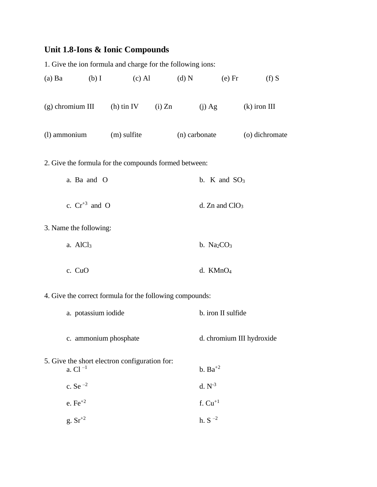# **Unit 1.8-Ions & Ionic Compounds**

|                                                       |                        | 1. Give the ion formula and charge for the following ions: |  |                  |                           |                |  |  |  |  |  |  |
|-------------------------------------------------------|------------------------|------------------------------------------------------------|--|------------------|---------------------------|----------------|--|--|--|--|--|--|
| $(a)$ Ba                                              | $(b)$ I                | $(c)$ Al                                                   |  | (d) N            | $(e)$ Fr                  | $(f)$ S        |  |  |  |  |  |  |
| $(g)$ chromium III                                    |                        | (h) tin IV (i) $Zn$                                        |  |                  | $(j)$ Ag                  | $(k)$ iron III |  |  |  |  |  |  |
| (l) ammonium                                          |                        | (m) sulfite                                                |  | (n) carbonate    |                           | (o) dichromate |  |  |  |  |  |  |
| 2. Give the formula for the compounds formed between: |                        |                                                            |  |                  |                           |                |  |  |  |  |  |  |
|                                                       | a. Ba and O            |                                                            |  |                  | b. K and $SO_3$           |                |  |  |  |  |  |  |
|                                                       | c. $Cr^{+3}$ and O     |                                                            |  | d. Zn and $ClO3$ |                           |                |  |  |  |  |  |  |
|                                                       | 3. Name the following: |                                                            |  |                  |                           |                |  |  |  |  |  |  |
|                                                       | a. AlCl <sub>3</sub>   |                                                            |  |                  | b. $Na2CO3$               |                |  |  |  |  |  |  |
|                                                       | c. CuO                 |                                                            |  |                  | d. $KMnO4$                |                |  |  |  |  |  |  |
|                                                       |                        | 4. Give the correct formula for the following compounds:   |  |                  |                           |                |  |  |  |  |  |  |
|                                                       | a. potassium iodide    |                                                            |  |                  | b. iron II sulfide        |                |  |  |  |  |  |  |
|                                                       | c. ammonium phosphate  |                                                            |  |                  | d. chromium III hydroxide |                |  |  |  |  |  |  |
|                                                       | a. Cl $^{-1}$          | 5. Give the short electron configuration for:              |  |                  | b. $Ba^{+2}$              |                |  |  |  |  |  |  |
|                                                       | c. Se $^{-2}$          |                                                            |  |                  | $d. N^{-3}$               |                |  |  |  |  |  |  |
|                                                       | e. $Fe^{+2}$           |                                                            |  |                  | f. $Cu+1$                 |                |  |  |  |  |  |  |
|                                                       | g. $Sr^{+2}$           |                                                            |  |                  | h. S $^{-2}$              |                |  |  |  |  |  |  |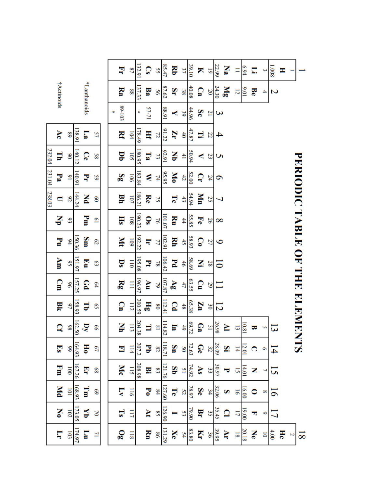|               |                           |                  |        |              |                  |  | Ę                       | $^{22}$          | 132.91 | ွာ                      | SS                       | 85.47  | g                 | 37                 | 39.10              | ⊼              | 5                        | 22.99 | Na                | Ξ              | 6.94  | Ξ. |                          | 1.008          | Ξ  |   |                               |
|---------------|---------------------------|------------------|--------|--------------|------------------|--|-------------------------|------------------|--------|-------------------------|--------------------------|--------|-------------------|--------------------|--------------------|----------------|--------------------------|-------|-------------------|----------------|-------|----|--------------------------|----------------|----|---|-------------------------------|
|               | <b>†Actinoids</b>         |                  |        | *Lanthanoids |                  |  | Ra                      | 88               | 137.33 | $\mathbf{B3}$           | 99                       | 87.62  | Şr                | 38                 | 40.08              | ្ផ             | 20                       | 24.30 | $\mathbf{a}$      | 12             | 10'6  | Be | $\overline{\phantom{a}}$ | Z              |    |   |                               |
|               |                           |                  |        |              |                  |  | 89-103                  |                  | ş.     | 57-71                   |                          | 16'88  | ≺                 | 39                 | 44.96              | Sc             | $\overline{z}$           | 3     |                   |                |       |    |                          |                |    |   |                               |
|               | $\blacktriangle$          | 68               | 138.91 | 73           | 57               |  | ¥                       | 104              | 178.49 | Ę                       | 77                       | 91.22  | Ņ                 | $\ddot{\bm{z}}$    | 47.87              | ∃              | 22                       | 4     |                   |                |       |    |                          |                |    |   |                               |
| 232.04        | Ę                         | 8 <sup>o</sup>   | 140.12 | Ce           | 58               |  | ₿Ď                      | 105              | 180.95 | $\mathbf{r}_\mathbf{a}$ | P,                       | 92.91  | ¥                 | $\overline{41}$    | 50.94              | ≺              | 23                       | S     |                   |                |       |    |                          |                |    |   |                               |
| 231.04 238.03 | $\mathbf{P}_{\mathbf{a}}$ | $\overline{5}$   | 140.91 | Ę            | SS               |  | Sg                      | <b>106</b>       | 183.84 | ⋞                       | 74                       | 95.95  | Šб                | 42                 | 52.00              | ្              | 24                       | 9     |                   |                |       |    |                          |                |    |   |                               |
|               | $\blacksquare$            | 82               | 144.24 | K            | $\mathbf{S}$     |  | 폏                       | 101              | 186.21 | Re                      | 75                       |        | ಸ                 | $\ddot{3}$         | 54.94              | Š              | 25                       | ر     |                   |                |       |    |                          |                |    |   | PERIODIC TABLE OF THE ELEMENT |
|               | 공                         | 93               |        | Fm           | $\overline{6}$   |  | $\overline{\textbf{H}}$ | 108              | 190.23 | $\mathbf{S}$            | $\overline{9}$           | 101.07 | N                 | #                  | 55.85              | ಸ              | 26                       | 8     |                   |                |       |    |                          |                |    |   |                               |
|               | F                         | $\frac{6}{5}$    | 150.36 | Sm           | S2               |  | Μt                      | <b>601</b>       | 192.22 | ₹                       | 77                       | 102.91 | ¥                 | 45                 | 58.93              | $\mathbf{C}$   | 27                       | 9     |                   |                |       |    |                          |                |    |   |                               |
|               | Åш                        | $\overline{56}$  | 151.97 | ē            | ස                |  | $\overline{\mathbf{S}}$ | $\overline{110}$ | 195.08 | k                       | $\overline{8}$           | 106.42 | Z                 | 46                 | 58.69              | Z,             | 28                       | ៑     |                   |                |       |    |                          |                |    |   |                               |
|               | ဌူ                        | 96               | 157.25 | ဥ            | $\mathfrak{p}_4$ |  | <b>Rg</b>               | Ξ                | 196.97 | NU                      | $\overline{6}$           | 107.87 | $\lambda_{\rm B}$ | 47                 | 63.55              | $\mathbf{C}$   | 29                       |       |                   |                |       |    |                          |                |    |   |                               |
|               | Bk                        | 97               | 158.93 | 급            | $\mathbf{S}$     |  | $\Omega$                | 112              | 200.59 | Hg                      | 80                       | 112.41 | Q                 | 48                 | 65.38              | ¥              | $\tilde{e}$              | 12    |                   |                |       |    |                          |                |    |   |                               |
|               | B                         | 86               | 162.50 | $\mathbf{N}$ | 99               |  | ¥                       | $\overline{113}$ | 204.38 | Ξ                       | $\overline{8}$           | 114.82 | 5                 |                    | $\frac{69.72}{49}$ | $\mathbb{G}^a$ | $\overline{\mathbf{31}}$ | 26.98 | ≥                 | 5              | 10.81 | E  | U)                       | 13             |    |   |                               |
|               | $\mathbf{S}$              | 66               | 164.93 | $\mathbb{H}$ | $\mathcal{L}$    |  | Ξ                       | $\overline{114}$ | 207.2  | ट                       | $\overline{c}$           | 118.71 | Šπ                |                    | $\frac{72.63}{50}$ | Ge             | 32                       | 28.09 | S.                | $\overline{4}$ | 12.01 |    |                          | $\overline{4}$ |    |   | ಹ                             |
|               | Ē                         | $\overline{001}$ | 167.26 | ş            | 89               |  | Мc                      | 115              | 208.98 | 모                       | $\mathbf{3}$             | 121.76 | Şθ                | $\frac{74.92}{51}$ |                    | $\Delta S$     | 33                       | 30.97 | ᠊ᢦ                | 5              | 14.01 | Z  |                          | 51             |    |   |                               |
|               | Мd                        | $\overline{101}$ | 168.93 | ₹            | 69               |  | Σ                       | $\overline{116}$ |        | $\mathbf{F_0}$          | $\frac{8}{4}$            | 127.60 | Te                | 52                 | 78.97              | Se             | 34                       | 32.06 | S                 | $\overline{9}$ | 16.00 | 0  | ∞                        | 5              |    |   |                               |
|               | Σo                        | 102              | 173.05 | ¥            | $\geq$           |  | 51                      | 117              |        | ₹                       | $\overline{\mathcal{S}}$ | 126.90 |                   | 53                 | 79.90              | Ę              | ςç                       | 35.45 | $\mathbf{\Omega}$ | 17             | 19.00 | E  | ৩                        | 17             |    |   |                               |
|               | Ę                         | 103              | 174.97 | E            | $\overline{1}$   |  | $\mathbf{e}$            | 118              |        | Š                       | 98                       | 131.29 | Xe                |                    | $\frac{83.80}{54}$ | Ķ              | 36                       | 39.95 | Ş                 | $\overline{8}$ | 20.18 | Ne | $\overline{\bullet}$     | 4.00           | He | N | $\overline{\infty}$           |
|               |                           |                  |        |              |                  |  |                         |                  |        |                         |                          |        |                   |                    |                    |                |                          |       |                   |                |       |    |                          |                |    |   |                               |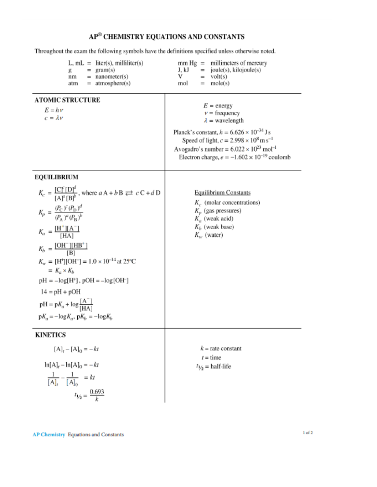#### AP<sup>®</sup> CHEMISTRY EQUATIONS AND CONSTANTS

Throughout the exam the following symbols have the definitions specified unless otherwise noted.

 $mm Hg = millimeters of mercury$  $L, mL =$  liter(s), milliliter(s) joule(s), kilojoule(s) g  $=$  gram(s) J, kJ  $=$  $=$  nanometer(s)  $volt(s)$ nm v  $=$ atmosphere(s)  $mole(s)$ atm mol  $=$  $=$ **ATOMIC STRUCTURE**  $E =$  energy  $E = h \nu$  $v = \text{frequency}$  $c = \lambda v$  $\lambda$  = wavelength Planck's constant,  $h = 6.626 \times 10^{-34}$  J s Speed of light,  $c = 2.998 \times 10^8 \text{ m s}^{-1}$ Avogadro's number =  $6.022 \times 10^{23}$  mol<sup>-1</sup> Electron charge,  $e = -1.602 \times 10^{-19}$  coulomb **EOUILIBRIUM**  $K_c = \frac{[C]^c [D]^d}{[A]^c [B]^b}$ , where  $aA + bB \rightleftarrows cC + dD$ **Equilibrium Constants**  $K_c$ . (molar concentrations)  $K_p = \frac{(P_{\rm C})^c (P_{\rm D})^d}{(P_{\rm a})^a (P_{\rm B})^b}$  $K_p$  (gas pressures)  $K_a$  (weak acid)  $K<sub>b</sub>$  (weak base)  $K_a = \frac{[H^+][A^-]}{[HA]}$  $K_w$  (water)  $K_b = \frac{[OH^-][HB^+]}{[B]}$  $K_w = [H^+][OH^-] = 1.0 \times 10^{-14}$  at 25°C  $= K_a \times K_b$  $pH = -log[H^+]$ ,  $pOH = -log[OH^-]$  $14 = pH + pOH$  $pH = pK_a + log \frac{[A^-]}{[HA]}$  $pK_a = -\log K_a$ ,  $pK_b = -\log K_b$ **KINETICS**  $[A]_1 - [A]_0 = -kt$  $k =$ rate constant  $t =$ time  $\ln[A]_t - \ln[A]_0 = -kt$  $t_{1/2}$  = half-life  $\frac{1}{[A]_i} - \frac{1}{[A]_0} = kt$  $t_{1/2} = \frac{0.693}{k}$